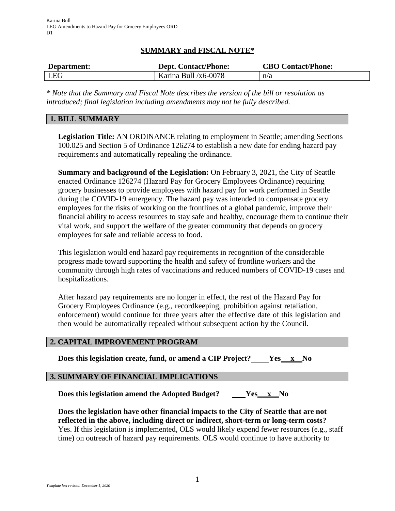# **SUMMARY and FISCAL NOTE\***

| Department: | <b>Dept. Contact/Phone:</b> | <b>CBO Contact/Phone:</b> |
|-------------|-----------------------------|---------------------------|
| <b>LEG</b>  | Karina Bull $/x6-0078$      | n/a                       |

*\* Note that the Summary and Fiscal Note describes the version of the bill or resolution as introduced; final legislation including amendments may not be fully described.*

## **1. BILL SUMMARY**

**Legislation Title:** AN ORDINANCE relating to employment in Seattle; amending Sections 100.025 and Section 5 of Ordinance 126274 to establish a new date for ending hazard pay requirements and automatically repealing the ordinance.

**Summary and background of the Legislation:** On February 3, 2021, the City of Seattle enacted Ordinance 126274 (Hazard Pay for Grocery Employees Ordinance) requiring grocery businesses to provide employees with hazard pay for work performed in Seattle during the COVID-19 emergency. The hazard pay was intended to compensate grocery employees for the risks of working on the frontlines of a global pandemic, improve their financial ability to access resources to stay safe and healthy, encourage them to continue their vital work, and support the welfare of the greater community that depends on grocery employees for safe and reliable access to food.

This legislation would end hazard pay requirements in recognition of the considerable progress made toward supporting the health and safety of frontline workers and the community through high rates of vaccinations and reduced numbers of COVID-19 cases and hospitalizations.

After hazard pay requirements are no longer in effect, the rest of the Hazard Pay for Grocery Employees Ordinance (e.g., recordkeeping, prohibition against retaliation, enforcement) would continue for three years after the effective date of this legislation and then would be automatically repealed without subsequent action by the Council.

#### **2. CAPITAL IMPROVEMENT PROGRAM**

**Does this legislation create, fund, or amend a CIP Project? Yes x No**

#### **3. SUMMARY OF FINANCIAL IMPLICATIONS**

**Does this legislation amend the Adopted Budget? Yes x No**

**Does the legislation have other financial impacts to the City of Seattle that are not reflected in the above, including direct or indirect, short-term or long-term costs?** Yes. If this legislation is implemented, OLS would likely expend fewer resources (e.g., staff time) on outreach of hazard pay requirements. OLS would continue to have authority to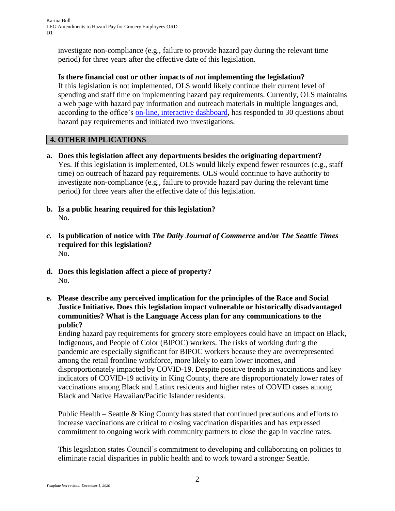investigate non-compliance (e.g., failure to provide hazard pay during the relevant time period) for three years after the effective date of this legislation.

**Is there financial cost or other impacts of** *not* **implementing the legislation?** If this legislation is not implemented, OLS would likely continue their current level of spending and staff time on implementing hazard pay requirements. Currently, OLS maintains a web page with hazard pay information and outreach materials in multiple languages and, according to the office's [on-line, interactive dashboard,](http://www.seattle.gov/laborstandards/ols-data-/data-interactive-dashboards) has responded to 30 questions about hazard pay requirements and initiated two investigations.

# **4. OTHER IMPLICATIONS**

- **a. Does this legislation affect any departments besides the originating department?** Yes. If this legislation is implemented, OLS would likely expend fewer resources (e.g., staff time) on outreach of hazard pay requirements. OLS would continue to have authority to investigate non-compliance (e.g., failure to provide hazard pay during the relevant time period) for three years after the effective date of this legislation.
- **b. Is a public hearing required for this legislation?** No.
- *c.* **Is publication of notice with** *The Daily Journal of Commerce* **and/or** *The Seattle Times* **required for this legislation?** No.
- **d. Does this legislation affect a piece of property?** No.
- **e. Please describe any perceived implication for the principles of the Race and Social Justice Initiative. Does this legislation impact vulnerable or historically disadvantaged communities? What is the Language Access plan for any communications to the public?**

Ending hazard pay requirements for grocery store employees could have an impact on Black, Indigenous, and People of Color (BIPOC) workers. The risks of working during the pandemic are especially significant for BIPOC workers because they are overrepresented among the retail frontline workforce, more likely to earn lower incomes, and disproportionately impacted by COVID-19. Despite positive trends in vaccinations and key indicators of COVID-19 activity in King County, there are disproportionately lower rates of vaccinations among Black and Latinx residents and higher rates of COVID cases among Black and Native Hawaiian/Pacific Islander residents.

Public Health – Seattle & King County has stated that continued precautions and efforts to increase vaccinations are critical to closing vaccination disparities and has expressed commitment to ongoing work with community partners to close the gap in vaccine rates.

This legislation states Council's commitment to developing and collaborating on policies to eliminate racial disparities in public health and to work toward a stronger Seattle.